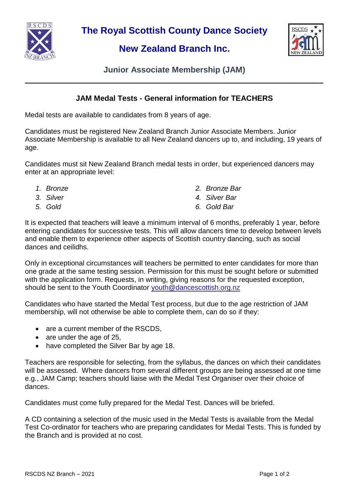

**The Royal Scottish County Dance Society**

## **New Zealand Branch Inc.**



**Junior Associate Membership (JAM) \_\_\_\_\_\_\_\_\_\_\_\_\_\_\_\_\_\_\_\_\_\_\_\_\_\_\_\_\_\_\_\_\_\_\_\_\_\_\_\_\_\_\_\_\_\_\_\_\_\_\_\_\_\_\_\_\_\_\_\_\_\_\_\_\_\_\_\_\_\_\_\_\_**

## **JAM Medal Tests - General information for TEACHERS**

Medal tests are available to candidates from 8 years of age.

Candidates must be registered New Zealand Branch Junior Associate Members. Junior Associate Membership is available to all New Zealand dancers up to, and including, 19 years of age.

Candidates must sit New Zealand Branch medal tests in order, but experienced dancers may enter at an appropriate level:

- 
- 
- 
- *1. Bronze 2. Bronze Bar*
- *3. Silver 4. Silver Bar*
- *5. Gold 6. Gold Bar*

It is expected that teachers will leave a minimum interval of 6 months, preferably 1 year, before entering candidates for successive tests. This will allow dancers time to develop between levels and enable them to experience other aspects of Scottish country dancing, such as social dances and ceilidhs.

Only in exceptional circumstances will teachers be permitted to enter candidates for more than one grade at the same testing session. Permission for this must be sought before or submitted with the application form. Requests, in writing, giving reasons for the requested exception, should be sent to the Youth Coordinator [youth@dancescottish.org.nz](mailto:youth@dancescottish.org.nz)

Candidates who have started the Medal Test process, but due to the age restriction of JAM membership, will not otherwise be able to complete them, can do so if they:

- are a current member of the RSCDS,
- are under the age of 25,
- have completed the Silver Bar by age 18.

Teachers are responsible for selecting, from the syllabus, the dances on which their candidates will be assessed. Where dancers from several different groups are being assessed at one time e.g., JAM Camp; teachers should liaise with the Medal Test Organiser over their choice of dances.

Candidates must come fully prepared for the Medal Test. Dances will be briefed.

A CD containing a selection of the music used in the Medal Tests is available from the Medal Test Co-ordinator for teachers who are preparing candidates for Medal Tests. This is funded by the Branch and is provided at no cost.